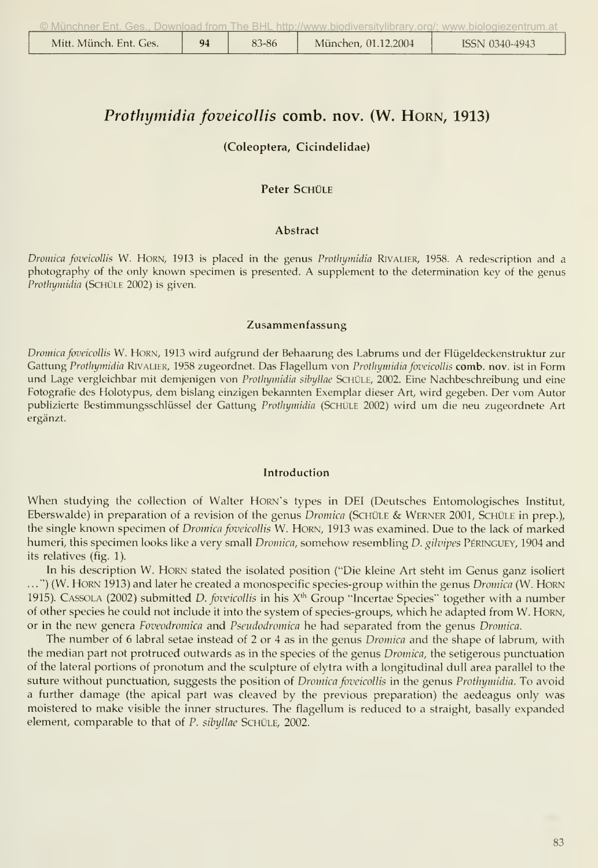|  | , Munchner Ent. Ges Download from The BHL http://www.blodiversitylibrary.org/; www.bloioqiezentrum.at يجب |  |
|--|-----------------------------------------------------------------------------------------------------------|--|
|  |                                                                                                           |  |

|  | Mitt. Münch. Ent. Ges. | $\mathbf{Q}$ | 83-86 | München, 01.12.2004 | ISSN 0340-4943 |
|--|------------------------|--------------|-------|---------------------|----------------|
|--|------------------------|--------------|-------|---------------------|----------------|

# Prothymidia foveicollis comb. nov. (W. HORN, 1913)

# (Coleoptera, Cicindelidae)

# Peter SCHÜLE

#### Abstract

Dromica foveicollis W. HORN, 1913 is placed in the genus Prothymidia RIVALIER, 1958. A redescription and a photography of the only known specimen is presented. A supplement to the determination key of the genus Prothymidia (SCHÜLE 2002) is given.

#### Zusammenfassung

Dromica foveicollis W. HORN, 1913 wird aufgrund der Behaarung des Labrums und der Flügeldeckenstruktur zur Gattung Prothymidia RIVALIER, 1958 zugeordnet. Das Flagellum von Prothymidia foveicollis comb. nov. ist in Form und Lage vergleichbar mit demjenigen von Prothymidia sibyllae SCHÜLE, 2002. Eine Nachbeschreibung und eine Fotografie des Holotypus, dem bislang einzigen bekannten Exemplar dieser Art, wird gegeben. Der vom Autor publizierte Bestimmungsschlüssel der Gattung Prothymidia (SCHÜLE 2002) wird um die neu zugeordnete Art ergänzt.

#### Introduction

When studying the collection of Walter HORN's types in DEI (Deutsches Entomologisches Institut, Eberswalde) in preparation of a revision of the genus *Dromica* (SCHÜLE & WERNER 2001, SCHÜLE in prep.). the single known specimen of Dromica foveicollis W. HORN, 1913 was examined. Due to the lack of marked humeri, this specimen looks like a very small Dromica, somehow resembling D. gilvipes PÉRINGUEY, 1904 and its relatives (fig. 1).

In his description W. HORN stated the isolated position ("Die kleine Art steht im Genus ganz isoliert ...") (W. HORN 1913) and later he created a monospecific species-group within the genus Dromica (W. HORN 1915). CASSOLA (2002) submitted D. foveicollis in his  $X^{th}$  Group "Incertae Species" together with a number of other species he could not include it into the system of species-groups, which he adapted from W. HORN, or in the new genera Foveodromica and Pseudodromica he had separated from the genus Dromica.

The number of 6 labral setae instead of 2 or 4 as in the genus Dromica and the shape of labrum, with the median part not protruced outwards as in the species of the genus Dromica, the setigerous punctuation of the lateral portions of pronotum and the sculpture of elytra with a longitudinal dull area parallel to the suture without punctuation, suggests the position of *Dromica foveicollis* in the genus *Prothymidia*. To avoid a further damage (the apical part was cleaved by the previous preparation) the aedeagus only was moistered to make visible the inner structures. The flagellum is reduced to a straight, basally expanded element, comparable to that of P. sibyllae SCHÜLE, 2002.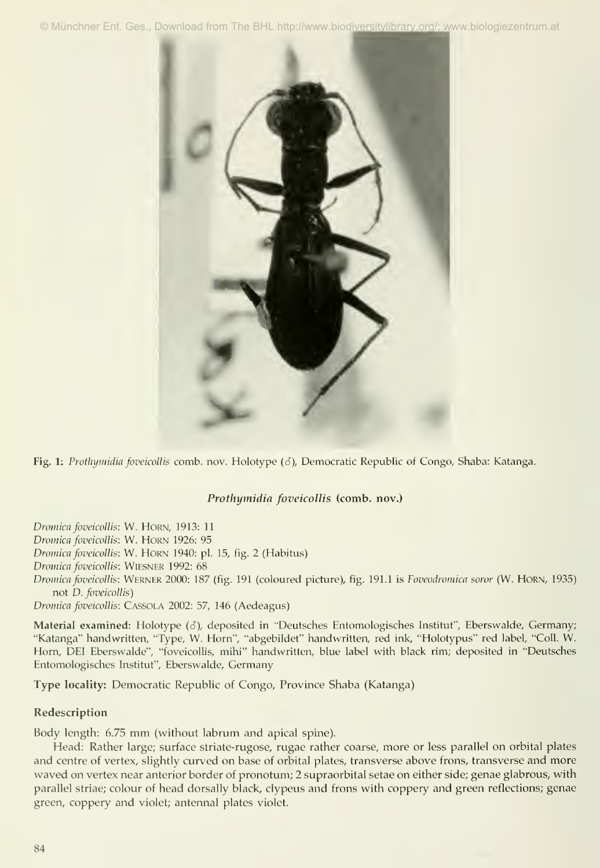© Münchner Ent. Ges., Download from The BHL http://www.biodiversitylibrary.org/; www.biologiezentrum.at



Fig. 1: Protlymidia foveicollis comb. nov. Holotype (3), Democratic Republic of Congo, Shaba: Katanga.

# Prothymidia foveicollis (comb. nov.)

Dromica foveicollis: W. HORN, 1913: 11 Dromica foveicollis: W. HORN 1926: 95 Dromica foveicollis: W. HORN 1940: pl. 15, fig. 2 (Habitus) Dromica foveicollis: WIESNER 1992: 68 Dromica foveicollis: WERNER 2000: 187 (fig. 191 (coloured picture), fig. 191.1 is Foveodromica soror (W. HORN, 1935) not D. foveicollis) Dromica foveicollis: CASSOLA 2002: 57, 146 (Aedeagus)

Material examined: Holotype (6), deposited in "Deutsches Entomologisches Institut", Eberswalde, Germany; "Katanga" handwritten, "Type, W. Hörn", "abgebildet" handwritten, red ink, "Holotypus" red label, "Coli. W. Horn, DEI Eberswalde", "foveicollis, mihi" handwritten, blue label with black rim; deposited in "Deutsches Entomologisches Institut", Eberswalde, Germany

Type locality: Democratic Republic of Congo, Province Shaba (Katanga)

# Redescription

Body length: 6.75 mm (without labrum and apical spine).

Head: Rather large; surface striate-rugose, rugae rather coarse, more or less parallel on orbital plates and centre of vertex, slightly curved on base of orbital plates, transverse above frons, transverse and more waved on vertex near anterior border of pronotum; 2 supraorbital setae on either side; genae glabrous, with parallel striae; colour of head dorsally black, clypeus and frons with coppery and green reflections; genae green, coppery and violet; antennal plates violet.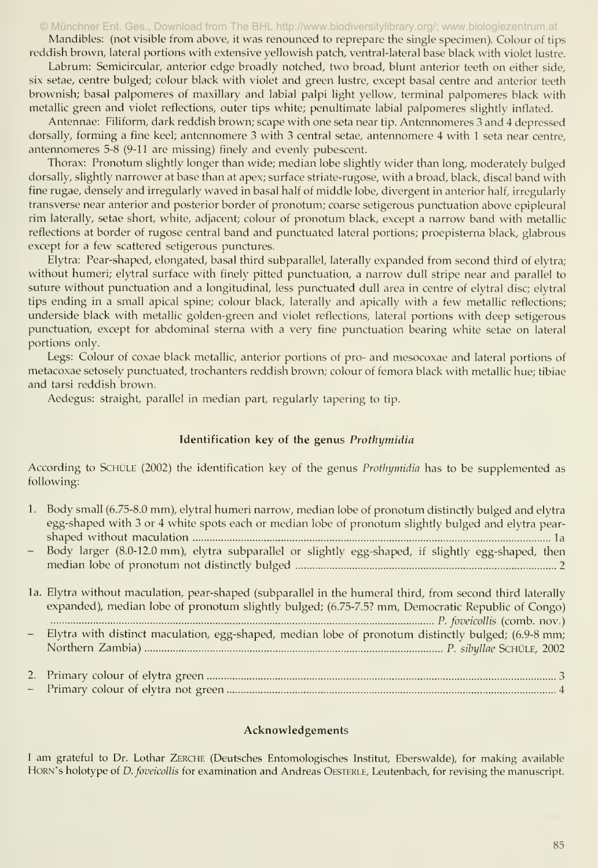#### © Münchner Ent. Ges., Download from The BHL http://www.biodiversitylibrary.org/; www.biologiezentrum.at

Mandibles: (not visible from above, it was renounced to reprepare the single specimen). Colour of tips reddish brown, lateral portions with extensive yellowish patch, ventral-lateral base black with violet lustre.

Labrum: Semicircular, anterior edge broadly notched, two broad, blunt anterior teeth on either side, six setae, centre bulged; colour black with violet and green lustre, except basal centre and anterior teeth brownish; basal palpomeres of maxillary and labial palpi light yellow, terminal palpomeres black with metallic green and violet reflections, outer tips white; penultimate labial palpomeres slightly inflated.

Antennae: Filiform, dark reddish brown; scape with one seta near tip. Antennomeres 3 and 4 depressed dorsally, forming a fine keel; antennomere 3 with 3 central setae, antennomere 4 with 1 seta near centre, antennomeres 5-8 (9-11 are missing) finely and evenly pubescent.

Thorax: Pronotum slightly longer than wide; median lobe slightly wider than long, moderately bulged dorsally, slightly narrower at base than at apex; surface striate-rugose, with a broad, black, discal band with fine rugae, densely and irregularly waved in basal half of middle lobe, divergent in anterior half, irregularly transverse near anterior and posterior border of pronotum; coarse setigerous punctuation above epipleural rim laterally, setae short, white, adjacent; colour of pronotum black, except a narrow band with metallic reflections at border of rugose central band and punctuated lateral portions; proepisterna black, glabrous except for a few scattered setigerous punctures.

Elytra: Pear-shaped, elongated, basal third subparallel, laterally expanded from second third of elytra; without humeri; elytral surface with finely pitted punctuation, a narrow dull stripe near and parallel to suture without punctuation and a longitudinal, less punctuated dull area in centre of elytral disc; elytral tips ending in a small apical spine; colour black, laterally and apically with a few metallic reflections; underside black with metallic golden-green and violet reflections, lateral portions with deep setigerous punctuation, except for abdominal sterna with a very fine punctuation bearing white setae on lateral portions only.

Legs: Colour of coxae black metallic, anterior portions of pro- and mesocoxae and lateral portions of metacoxae setosely punctuated, trochanters reddish brown; colour of femora black with metallic hue; tibiae and tarsi reddish brown.

Aedegus: straight, parallel in median part, regularly tapering to tip.

# Identification key of the genus Prothymidia

According to SCHÜLE (2002) the identification key of the genus *Prothymidia* has to be supplemented as following:

| 1. Body small (6.75-8.0 mm), elytral humeri narrow, median lobe of pronotum distinctly bulged and elytra |
|----------------------------------------------------------------------------------------------------------|
| egg-shaped with 3 or 4 white spots each or median lobe of pronotum slightly bulged and elytra pear-      |
|                                                                                                          |
| - Body larger (8.0-12.0 mm), elytra subparallel or slightly egg-shaped, if slightly egg-shaped, then     |
|                                                                                                          |

| 1a. Elytra without maculation, pear-shaped (subparallel in the humeral third, from second third laterally<br>expanded), median lobe of pronotum slightly bulged; (6.75-7.5? mm, Democratic Republic of Congo)                                                                                    |
|--------------------------------------------------------------------------------------------------------------------------------------------------------------------------------------------------------------------------------------------------------------------------------------------------|
| Elytra with distinct maculation, egg-shaped, median lobe of pronotum distinctly bulged; (6.9-8 mm;                                                                                                                                                                                               |
| $\mathbf{D}$ and $\mathbf{D}$ and $\mathbf{D}$ and $\mathbf{D}$ and $\mathbf{D}$ and $\mathbf{D}$ and $\mathbf{D}$ and $\mathbf{D}$ and $\mathbf{D}$ and $\mathbf{D}$ and $\mathbf{D}$ and $\mathbf{D}$ and $\mathbf{D}$ and $\mathbf{D}$ and $\mathbf{D}$ and $\mathbf{D}$ and $\mathbf{D}$ and |

- Primary colour of elytra not green 4

### Acknowledgements

<sup>I</sup> am grateful to Dr. Lothar Zerche (Deutsches Entomologisches Institut, Eberswalde), for making available HORN's holotype of *D. foveicollis* for examination and Andreas OESTERLE, Leutenbach, for revising the manuscript.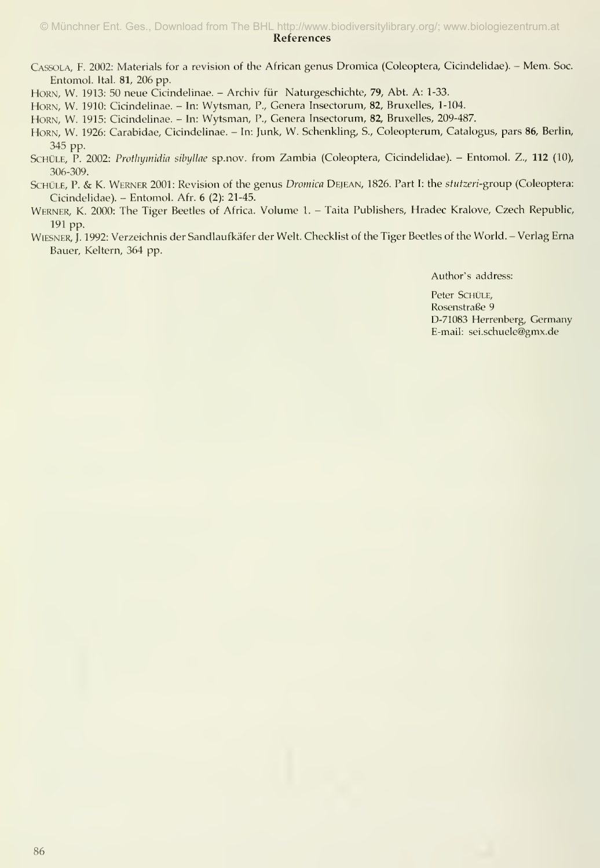#### References © Münchner Ent. Ges., Download from The BHL http://www.biodiversitylibrary.org/; www.biologiezentrum.at

- Cassola, f. 2002: Materials for <sup>a</sup> revision of the African genus Dromica (Coleoptera, Cicindelidae). Mem. Soc. Entomol. Ital. 81, 206 pp.
- HORN, W. 1913: 50 neue Cicindelinae. Archiv für Naturgeschichte, 79, Abt. A: 1-33.
- HORN, W. 1910: Cicindelinae. In: Wytsman, P., Genera Insectorum, 82, Bruxelles, 1-104.
- HoRN, W. 1915: Cicindelinae. In: Wytsman, P., Genera Insectorum, 82, Bruxelles, 209-487.
- HORN, W. 1926: Carabidae, Cicindelinae. In: Junk, W. Schenkling, S., Coleopterum, Catalogus, pars 86, Berlin, 345 pp.
- SCHÜLE, P. 2002: Protlnymidia sibyllae sp.nov. from Zambia (Coleoptera, Cicindelidae). Entomol. Z., 112 (10), 306-309.
- SCHÜLE, P. & K. WERNER 2001: Revision of the genus Dromica DEJEAN, 1826. Part I: the stutzeri-group (Coleoptera: Cicindelidae). - Entomol. Afr. 6 (2): 21-45.
- Werner, K. 2000: The Tiger Beetles of Africa. Volume 1. Taita Publishers, Hradec Kralove, Czech Republic, 191 pp.
- Wiesner, J. 1992: Verzeichnis der Sandlaufkäfer der Welt. Checklist of the Tiger Beetles of the World. Verlag Erna Bauer, Keltern, 364 pp.

Author's address:

Peter SCHÜLE, Rosenstraße 9 D-71083 Herrenberg, Germany E-mail: sei.schuele@gmx.de